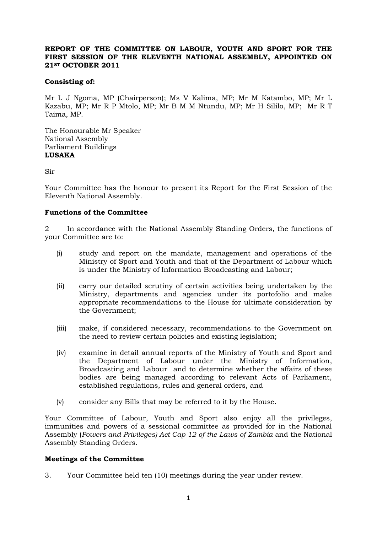# **REPORT OF THE COMMITTEE ON LABOUR, YOUTH AND SPORT FOR THE FIRST SESSION OF THE ELEVENTH NATIONAL ASSEMBLY, APPOINTED ON 21ST OCTOBER 2011**

# **Consisting of:**

Mr L J Ngoma, MP (Chairperson); Ms V Kalima, MP; Mr M Katambo, MP; Mr L Kazabu, MP; Mr R P Mtolo, MP; Mr B M M Ntundu, MP; Mr H Sililo, MP; Mr R T Taima, MP.

The Honourable Mr Speaker National Assembly Parliament Buildings **LUSAKA**

Sir

Your Committee has the honour to present its Report for the First Session of the Eleventh National Assembly.

# **Functions of the Committee**

2 In accordance with the National Assembly Standing Orders, the functions of your Committee are to:

- (i) study and report on the mandate, management and operations of the Ministry of Sport and Youth and that of the Department of Labour which is under the Ministry of Information Broadcasting and Labour;
- (ii) carry our detailed scrutiny of certain activities being undertaken by the Ministry, departments and agencies under its portofolio and make appropriate recommendations to the House for ultimate consideration by the Government;
- (iii) make, if considered necessary, recommendations to the Government on the need to review certain policies and existing legislation;
- (iv) examine in detail annual reports of the Ministry of Youth and Sport and the Department of Labour under the Ministry of Information, Broadcasting and Labour and to determine whether the affairs of these bodies are being managed according to relevant Acts of Parliament, established regulations, rules and general orders, and
- (v) consider any Bills that may be referred to it by the House.

Your Committee of Labour, Youth and Sport also enjoy all the privileges, immunities and powers of a sessional committee as provided for in the National Assembly (*Powers and Privileges) Act Cap 12 of the Laws of Zambia* and the National Assembly Standing Orders.

#### **Meetings of the Committee**

3. Your Committee held ten (10) meetings during the year under review.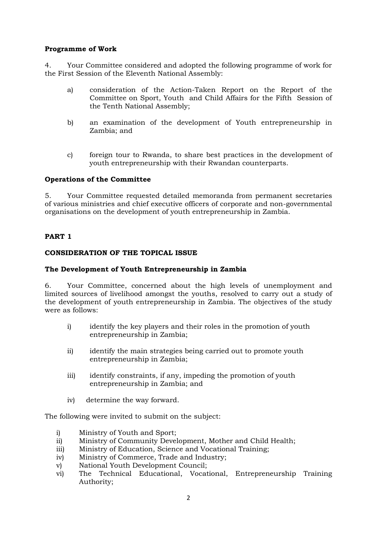# **Programme of Work**

4. Your Committee considered and adopted the following programme of work for the First Session of the Eleventh National Assembly:

- a) consideration of the Action-Taken Report on the Report of the Committee on Sport, Youth and Child Affairs for the Fifth Session of the Tenth National Assembly;
- b) an examination of the development of Youth entrepreneurship in Zambia; and
- c) foreign tour to Rwanda, to share best practices in the development of youth entrepreneurship with their Rwandan counterparts.

# **Operations of the Committee**

5. Your Committee requested detailed memoranda from permanent secretaries of various ministries and chief executive officers of corporate and non-governmental organisations on the development of youth entrepreneurship in Zambia.

# **PART 1**

# **CONSIDERATION OF THE TOPICAL ISSUE**

### **The Development of Youth Entrepreneurship in Zambia**

6. Your Committee, concerned about the high levels of unemployment and limited sources of livelihood amongst the youths, resolved to carry out a study of the development of youth entrepreneurship in Zambia. The objectives of the study were as follows:

- i) identify the key players and their roles in the promotion of youth entrepreneurship in Zambia;
- ii) identify the main strategies being carried out to promote youth entrepreneurship in Zambia;
- iii) identify constraints, if any, impeding the promotion of youth entrepreneurship in Zambia; and
- iv) determine the way forward.

The following were invited to submit on the subject:

- i) Ministry of Youth and Sport;
- ii) Ministry of Community Development, Mother and Child Health;
- iii) Ministry of Education, Science and Vocational Training;
- iv) Ministry of Commerce, Trade and Industry;
- v) National Youth Development Council;
- vi) The Technical Educational, Vocational, Entrepreneurship Training Authority;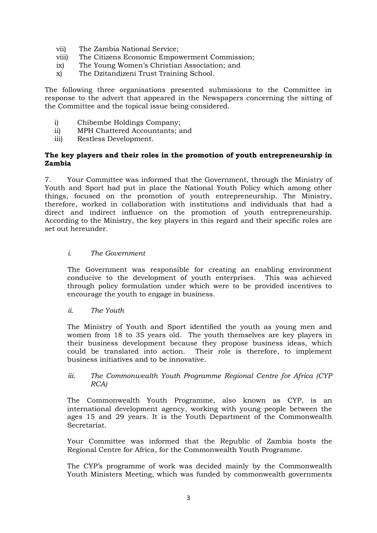- vii) The Zambia National Service;
- viii) The Citizens Economic Empowerment Commission;
- ix) The Young Women's Christian Association; and
- x) The Dzitandizeni Trust Training School.

The following three organisations presented submissions to the Committee in response to the advert that appeared in the Newspapers concerning the sitting of the Committee and the topical issue being considered.

- i) Chibembe Holdings Company;
- ii) MPH Chattered Accountants; and
- iii) Restless Development.

### **The key players and their roles in the promotion of youth entrepreneurship in Zambia**

7. Your Committee was informed that the Government, through the Ministry of Youth and Sport had put in place the National Youth Policy which among other things, focused on the promotion of youth entrepreneurship. The Ministry, therefore, worked in collaboration with institutions and individuals that had a direct and indirect influence on the promotion of youth entrepreneurship. According to the Ministry, the key players in this regard and their specific roles are set out hereunder.

# *i. The Government*

The Government was responsible for creating an enabling environment conducive to the development of youth enterprises. This was achieved through policy formulation under which were to be provided incentives to encourage the youth to engage in business.

#### *ii. The Youth*

The Ministry of Youth and Sport identified the youth as young men and women from 18 to 35 years old. The youth themselves are key players in their business development because they propose business ideas, which could be translated into action. Their role is therefore, to implement business initiatives and to be innovative.

# *iii. The Commonwealth Youth Programme Regional Centre for Africa (CYP RCA)*

The Commonwealth Youth Programme, also known as CYP, is an international development agency, working with young people between the ages 15 and 29 years. It is the Youth Department of the Commonwealth Secretariat.

Your Committee was informed that the Republic of Zambia hosts the Regional Centre for Africa, for the Commonwealth Youth Programme.

The CYP's programme of work was decided mainly by the Commonwealth Youth Ministers Meeting, which was funded by commonwealth governments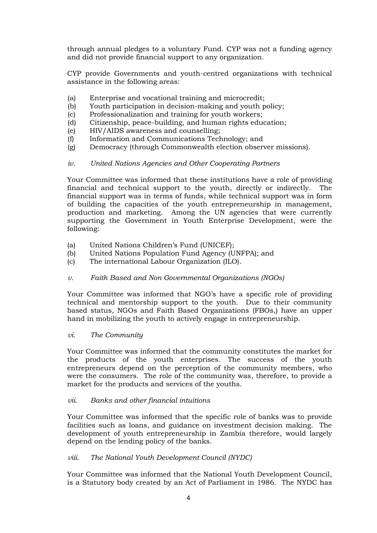through annual pledges to a voluntary Fund. CYP was not a funding agency and did not provide financial support to any organization.

CYP provide Governments and youth-centred organizations with technical assistance in the following areas:

- (a) Enterprise and vocational training and microcredit;
- (b) Youth participation in decision-making and youth policy;
- (c) Professionalization and training for youth workers;
- (d) Citizenship, peace-building, and human rights education;
- (e) HIV/AIDS awareness and counselling;
- (f) Information and Communications Technology; and
- (g) Democracy (through Commonwealth election observer missions).

# *iv. United Nations Agencies and Other Cooperating Partners*

Your Committee was informed that these institutions have a role of providing financial and technical support to the youth, directly or indirectly. The financial support was in terms of funds, while technical support was in form of building the capacities of the youth entrepreneurship in management, production and marketing. Among the UN agencies that were currently supporting the Government in Youth Enterprise Development, were the following:

- (a) United Nations Children's Fund (UNICEF);
- (b) United Nations Population Fund Agency (UNFPA); and
- (c) The international Labour Organization (ILO).
- *v. Faith Based and Non Governmental Organizations (NGOs)*

Your Committee was informed that NGO's have a specific role of providing technical and mentorship support to the youth. Due to their community based status, NGOs and Faith Based Organizations (FBOs,) have an upper hand in mobilizing the youth to actively engage in entrepreneurship.

#### *vi. The Community*

Your Committee was informed that the community constitutes the market for the products of the youth enterprises. The success of the youth entrepreneurs depend on the perception of the community members, who were the consumers. The role of the community was, therefore, to provide a market for the products and services of the youths.

#### *vii. Banks and other financial intuitions*

Your Committee was informed that the specific role of banks was to provide facilities such as loans, and guidance on investment decision making. The development of youth entrepreneurship in Zambia therefore, would largely depend on the lending policy of the banks.

#### *viii. The National Youth Development Council (NYDC)*

Your Committee was informed that the National Youth Development Council, is a Statutory body created by an Act of Parliament in 1986. The NYDC has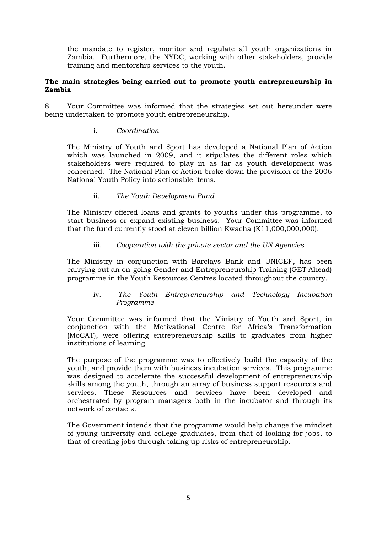the mandate to register, monitor and regulate all youth organizations in Zambia. Furthermore, the NYDC, working with other stakeholders, provide training and mentorship services to the youth.

# **The main strategies being carried out to promote youth entrepreneurship in Zambia**

8. Your Committee was informed that the strategies set out hereunder were being undertaken to promote youth entrepreneurship.

# i. *Coordination*

The Ministry of Youth and Sport has developed a National Plan of Action which was launched in 2009, and it stipulates the different roles which stakeholders were required to play in as far as youth development was concerned. The National Plan of Action broke down the provision of the 2006 National Youth Policy into actionable items.

# ii. *The Youth Development Fund*

The Ministry offered loans and grants to youths under this programme, to start business or expand existing business. Your Committee was informed that the fund currently stood at eleven billion Kwacha (K11,000,000,000).

# iii. *Cooperation with the private sector and the UN Agencies*

The Ministry in conjunction with Barclays Bank and UNICEF, has been carrying out an on-going Gender and Entrepreneurship Training (GET Ahead) programme in the Youth Resources Centres located throughout the country.

# iv. *The Youth Entrepreneurship and Technology Incubation Programme*

Your Committee was informed that the Ministry of Youth and Sport, in conjunction with the Motivational Centre for Africa's Transformation (MoCAT), were offering entrepreneurship skills to graduates from higher institutions of learning.

The purpose of the programme was to effectively build the capacity of the youth, and provide them with business incubation services. This programme was designed to accelerate the successful development of entrepreneurship skills among the youth, through an array of business support resources and services. These Resources and services have been developed and orchestrated by program managers both in the incubator and through its network of contacts.

The Government intends that the programme would help change the mindset of young university and college graduates, from that of looking for jobs, to that of creating jobs through taking up risks of entrepreneurship.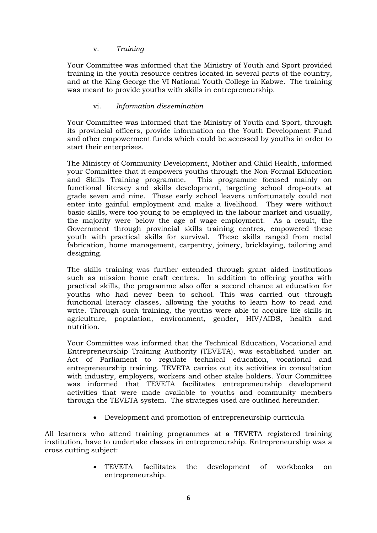# v. *Training*

Your Committee was informed that the Ministry of Youth and Sport provided training in the youth resource centres located in several parts of the country, and at the King George the VI National Youth College in Kabwe. The training was meant to provide youths with skills in entrepreneurship.

# vi. *Information dissemination*

Your Committee was informed that the Ministry of Youth and Sport, through its provincial officers, provide information on the Youth Development Fund and other empowerment funds which could be accessed by youths in order to start their enterprises.

The Ministry of Community Development, Mother and Child Health, informed your Committee that it empowers youths through the Non-Formal Education and Skills Training programme. This programme focused mainly on functional literacy and skills development, targeting school drop-outs at grade seven and nine. These early school leavers unfortunately could not enter into gainful employment and make a livelihood. They were without basic skills, were too young to be employed in the labour market and usually, the majority were below the age of wage employment. As a result, the Government through provincial skills training centres, empowered these youth with practical skills for survival. These skills ranged from metal fabrication, home management, carpentry, joinery, bricklaying, tailoring and designing.

The skills training was further extended through grant aided institutions such as mission home craft centres. In addition to offering youths with practical skills, the programme also offer a second chance at education for youths who had never been to school. This was carried out through functional literacy classes, allowing the youths to learn how to read and write. Through such training, the youths were able to acquire life skills in agriculture, population, environment, gender, HIV/AIDS, health and nutrition.

Your Committee was informed that the Technical Education, Vocational and Entrepreneurship Training Authority (TEVETA), was established under an Act of Parliament to regulate technical education, vocational and entrepreneurship training. TEVETA carries out its activities in consultation with industry, employers, workers and other stake holders. Your Committee was informed that TEVETA facilitates entrepreneurship development activities that were made available to youths and community members through the TEVETA system. The strategies used are outlined hereunder.

Development and promotion of entrepreneurship curricula

All learners who attend training programmes at a TEVETA registered training institution, have to undertake classes in entrepreneurship. Entrepreneurship was a cross cutting subject:

> TEVETA facilitates the development of workbooks on entrepreneurship.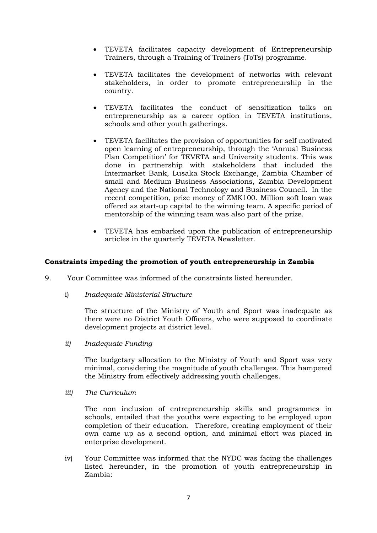- TEVETA facilitates capacity development of Entrepreneurship Trainers, through a Training of Trainers (ToTs) programme.
- TEVETA facilitates the development of networks with relevant stakeholders, in order to promote entrepreneurship in the country.
- TEVETA facilitates the conduct of sensitization talks on entrepreneurship as a career option in TEVETA institutions, schools and other youth gatherings.
- TEVETA facilitates the provision of opportunities for self motivated open learning of entrepreneurship, through the 'Annual Business Plan Competition' for TEVETA and University students. This was done in partnership with stakeholders that included the Intermarket Bank, Lusaka Stock Exchange, Zambia Chamber of small and Medium Business Associations, Zambia Development Agency and the National Technology and Business Council. In the recent competition, prize money of ZMK100. Million soft loan was offered as start-up capital to the winning team. A specific period of mentorship of the winning team was also part of the prize.
- TEVETA has embarked upon the publication of entrepreneurship articles in the quarterly TEVETA Newsletter.

# **Constraints impeding the promotion of youth entrepreneurship in Zambia**

- 9. Your Committee was informed of the constraints listed hereunder.
	- i) *Inadequate Ministerial Structure*

The structure of the Ministry of Youth and Sport was inadequate as there were no District Youth Officers, who were supposed to coordinate development projects at district level.

*ii) Inadequate Funding*

The budgetary allocation to the Ministry of Youth and Sport was very minimal, considering the magnitude of youth challenges. This hampered the Ministry from effectively addressing youth challenges.

*iii) The Curriculum*

The non inclusion of entrepreneurship skills and programmes in schools, entailed that the youths were expecting to be employed upon completion of their education. Therefore, creating employment of their own came up as a second option, and minimal effort was placed in enterprise development.

iv) Your Committee was informed that the NYDC was facing the challenges listed hereunder, in the promotion of youth entrepreneurship in Zambia: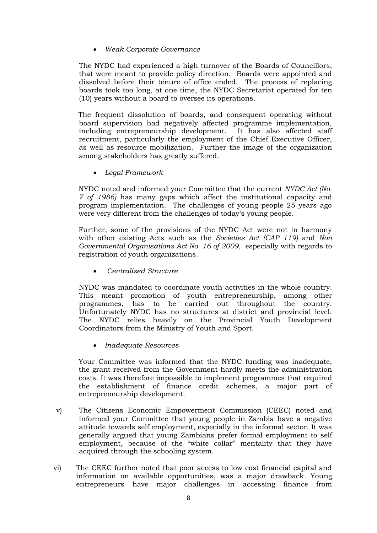# *Weak Corporate Governance*

The NYDC had experienced a high turnover of the Boards of Councillors, that were meant to provide policy direction. Boards were appointed and dissolved before their tenure of office ended. The process of replacing boards took too long, at one time, the NYDC Secretariat operated for ten (10) years without a board to oversee its operations.

The frequent dissolution of boards, and consequent operating without board supervision had negatively affected programme implementation, including entrepreneurship development. It has also affected staff recruitment, particularly the employment of the Chief Executive Officer, as well as resource mobilization. Further the image of the organization among stakeholders has greatly suffered.

*Legal Framework*

NYDC noted and informed your Committee that the current *NYDC Act (No. 7 of 1986)* has many gaps which affect the institutional capacity and program implementation. The challenges of young people 25 years ago were very different from the challenges of today's young people.

Further, some of the provisions of the NYDC Act were not in harmony with other existing Acts such as the *Societies Act (CAP 119)* and *Non Governmental Organisations Act No. 16 of 2009*, especially with regards to registration of youth organizations.

*Centralized Structure*

NYDC was mandated to coordinate youth activities in the whole country. This meant promotion of youth entrepreneurship, among other programmes, has to be carried out throughout the country. Unfortunately NYDC has no structures at district and provincial level. The NYDC relies heavily on the Provincial Youth Development Coordinators from the Ministry of Youth and Sport.

*Inadequate Resources*

Your Committee was informed that the NYDC funding was inadequate, the grant received from the Government hardly meets the administration costs. It was therefore impossible to implement programmes that required the establishment of finance credit schemes, a major part of entrepreneurship development.

- v) The Citizens Economic Empowerment Commission (CEEC) noted and informed your Committee that young people in Zambia have a negative attitude towards self employment, especially in the informal sector. It was generally argued that young Zambians prefer formal employment to self employment, because of the "white collar" mentality that they have acquired through the schooling system.
- vi) The CEEC further noted that poor access to low cost financial capital and information on available opportunities, was a major drawback. Young entrepreneurs have major challenges in accessing finance from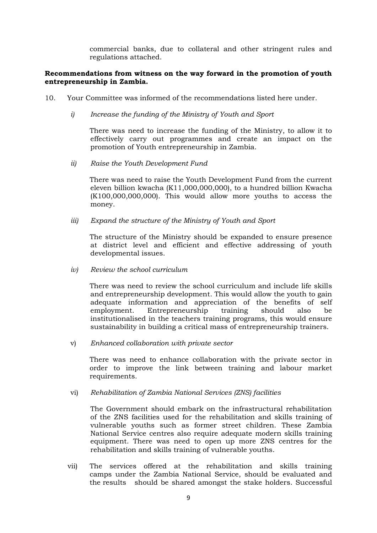commercial banks, due to collateral and other stringent rules and regulations attached.

# **Recommendations from witness on the way forward in the promotion of youth entrepreneurship in Zambia.**

- 10. Your Committee was informed of the recommendations listed here under.
	- *i) Increase the funding of the Ministry of Youth and Sport*

There was need to increase the funding of the Ministry, to allow it to effectively carry out programmes and create an impact on the promotion of Youth entrepreneurship in Zambia.

*ii) Raise the Youth Development Fund*

There was need to raise the Youth Development Fund from the current eleven billion kwacha (K11,000,000,000), to a hundred billion Kwacha (K100,000,000,000). This would allow more youths to access the money.

*iii) Expand the structure of the Ministry of Youth and Sport*

The structure of the Ministry should be expanded to ensure presence at district level and efficient and effective addressing of youth developmental issues.

*iv) Review the school curriculum*

There was need to review the school curriculum and include life skills and entrepreneurship development. This would allow the youth to gain adequate information and appreciation of the benefits of self employment. Entrepreneurship training should also be institutionalised in the teachers training programs, this would ensure sustainability in building a critical mass of entrepreneurship trainers.

v) *Enhanced collaboration with private sector*

There was need to enhance collaboration with the private sector in order to improve the link between training and labour market requirements.

vi) *Rehabilitation of Zambia National Services (ZNS) facilities*

The Government should embark on the infrastructural rehabilitation of the ZNS facilities used for the rehabilitation and skills training of vulnerable youths such as former street children. These Zambia National Service centres also require adequate modern skills training equipment. There was need to open up more ZNS centres for the rehabilitation and skills training of vulnerable youths.

vii) The services offered at the rehabilitation and skills training camps under the Zambia National Service, should be evaluated and the results should be shared amongst the stake holders. Successful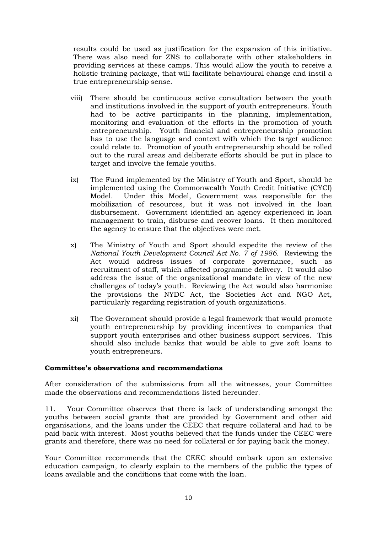results could be used as justification for the expansion of this initiative. There was also need for ZNS to collaborate with other stakeholders in providing services at these camps. This would allow the youth to receive a holistic training package, that will facilitate behavioural change and instil a true entrepreneurship sense.

- viii) There should be continuous active consultation between the youth and institutions involved in the support of youth entrepreneurs. Youth had to be active participants in the planning, implementation, monitoring and evaluation of the efforts in the promotion of youth entrepreneurship. Youth financial and entrepreneurship promotion has to use the language and context with which the target audience could relate to. Promotion of youth entrepreneurship should be rolled out to the rural areas and deliberate efforts should be put in place to target and involve the female youths.
- ix) The Fund implemented by the Ministry of Youth and Sport, should be implemented using the Commonwealth Youth Credit Initiative (CYCI) Model. Under this Model, Government was responsible for the mobilization of resources, but it was not involved in the loan disbursement. Government identified an agency experienced in loan management to train, disburse and recover loans. It then monitored the agency to ensure that the objectives were met.
- x) The Ministry of Youth and Sport should expedite the review of the *National Youth Development Council Act No. 7 of 1986.* Reviewing the Act would address issues of corporate governance, such as recruitment of staff, which affected programme delivery. It would also address the issue of the organizational mandate in view of the new challenges of today's youth. Reviewing the Act would also harmonise the provisions the NYDC Act, the Societies Act and NGO Act, particularly regarding registration of youth organizations.
- xi) The Government should provide a legal framework that would promote youth entrepreneurship by providing incentives to companies that support youth enterprises and other business support services. This should also include banks that would be able to give soft loans to youth entrepreneurs.

# **Committee's observations and recommendations**

After consideration of the submissions from all the witnesses, your Committee made the observations and recommendations listed hereunder.

11. Your Committee observes that there is lack of understanding amongst the youths between social grants that are provided by Government and other aid organisations, and the loans under the CEEC that require collateral and had to be paid back with interest. Most youths believed that the funds under the CEEC were grants and therefore, there was no need for collateral or for paying back the money.

Your Committee recommends that the CEEC should embark upon an extensive education campaign, to clearly explain to the members of the public the types of loans available and the conditions that come with the loan.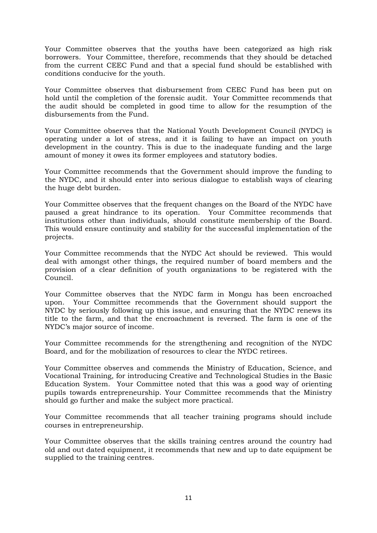Your Committee observes that the youths have been categorized as high risk borrowers. Your Committee, therefore, recommends that they should be detached from the current CEEC Fund and that a special fund should be established with conditions conducive for the youth.

Your Committee observes that disbursement from CEEC Fund has been put on hold until the completion of the forensic audit. Your Committee recommends that the audit should be completed in good time to allow for the resumption of the disbursements from the Fund.

Your Committee observes that the National Youth Development Council (NYDC) is operating under a lot of stress, and it is failing to have an impact on youth development in the country. This is due to the inadequate funding and the large amount of money it owes its former employees and statutory bodies.

Your Committee recommends that the Government should improve the funding to the NYDC, and it should enter into serious dialogue to establish ways of clearing the huge debt burden.

Your Committee observes that the frequent changes on the Board of the NYDC have paused a great hindrance to its operation. Your Committee recommends that institutions other than individuals, should constitute membership of the Board. This would ensure continuity and stability for the successful implementation of the projects.

Your Committee recommends that the NYDC Act should be reviewed. This would deal with amongst other things, the required number of board members and the provision of a clear definition of youth organizations to be registered with the Council.

Your Committee observes that the NYDC farm in Mongu has been encroached upon. Your Committee recommends that the Government should support the NYDC by seriously following up this issue, and ensuring that the NYDC renews its title to the farm, and that the encroachment is reversed. The farm is one of the NYDC's major source of income.

Your Committee recommends for the strengthening and recognition of the NYDC Board, and for the mobilization of resources to clear the NYDC retirees.

Your Committee observes and commends the Ministry of Education, Science, and Vocational Training, for introducing Creative and Technological Studies in the Basic Education System. Your Committee noted that this was a good way of orienting pupils towards entrepreneurship. Your Committee recommends that the Ministry should go further and make the subject more practical.

Your Committee recommends that all teacher training programs should include courses in entrepreneurship.

Your Committee observes that the skills training centres around the country had old and out dated equipment, it recommends that new and up to date equipment be supplied to the training centres.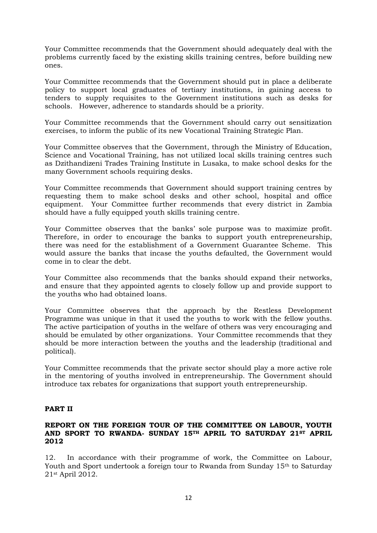Your Committee recommends that the Government should adequately deal with the problems currently faced by the existing skills training centres, before building new ones.

Your Committee recommends that the Government should put in place a deliberate policy to support local graduates of tertiary institutions, in gaining access to tenders to supply requisites to the Government institutions such as desks for schools. However, adherence to standards should be a priority.

Your Committee recommends that the Government should carry out sensitization exercises, to inform the public of its new Vocational Training Strategic Plan.

Your Committee observes that the Government, through the Ministry of Education, Science and Vocational Training, has not utilized local skills training centres such as Dzithandizeni Trades Training Institute in Lusaka, to make school desks for the many Government schools requiring desks.

Your Committee recommends that Government should support training centres by requesting them to make school desks and other school, hospital and office equipment. Your Committee further recommends that every district in Zambia should have a fully equipped youth skills training centre.

Your Committee observes that the banks' sole purpose was to maximize profit. Therefore, in order to encourage the banks to support youth entrepreneurship, there was need for the establishment of a Government Guarantee Scheme. This would assure the banks that incase the youths defaulted, the Government would come in to clear the debt.

Your Committee also recommends that the banks should expand their networks, and ensure that they appointed agents to closely follow up and provide support to the youths who had obtained loans.

Your Committee observes that the approach by the Restless Development Programme was unique in that it used the youths to work with the fellow youths. The active participation of youths in the welfare of others was very encouraging and should be emulated by other organizations. Your Committee recommends that they should be more interaction between the youths and the leadership (traditional and political).

Your Committee recommends that the private sector should play a more active role in the mentoring of youths involved in entrepreneurship. The Government should introduce tax rebates for organizations that support youth entrepreneurship.

# **PART II**

### **REPORT ON THE FOREIGN TOUR OF THE COMMITTEE ON LABOUR, YOUTH AND SPORT TO RWANDA- SUNDAY 15TH APRIL TO SATURDAY 21ST APRIL 2012**

12. In accordance with their programme of work, the Committee on Labour, Youth and Sport undertook a foreign tour to Rwanda from Sunday 15<sup>th</sup> to Saturday 21st April 2012.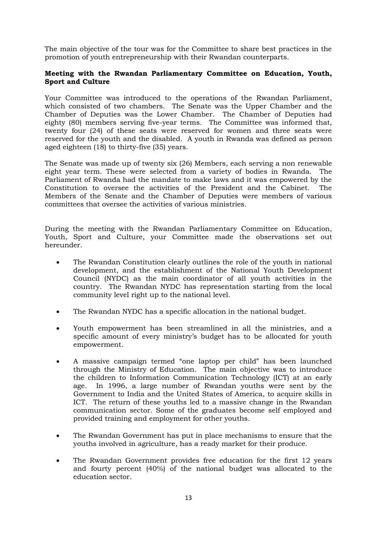The main objective of the tour was for the Committee to share best practices in the promotion of youth entrepreneurship with their Rwandan counterparts.

# **Meeting with the Rwandan Parliamentary Committee on Education, Youth, Sport and Culture**

Your Committee was introduced to the operations of the Rwandan Parliament, which consisted of two chambers. The Senate was the Upper Chamber and the Chamber of Deputies was the Lower Chamber. The Chamber of Deputies had eighty (80) members serving five-year terms. The Committee was informed that, twenty four (24) of these seats were reserved for women and three seats were reserved for the youth and the disabled. A youth in Rwanda was defined as person aged eighteen (18) to thirty-five (35) years.

The Senate was made up of twenty six (26) Members, each serving a non renewable eight year term. These were selected from a variety of bodies in Rwanda. The Parliament of Rwanda had the mandate to make laws and it was empowered by the Constitution to oversee the activities of the President and the Cabinet. The Members of the Senate and the Chamber of Deputies were members of various committees that oversee the activities of various ministries.

During the meeting with the Rwandan Parliamentary Committee on Education, Youth, Sport and Culture, your Committee made the observations set out hereunder.

- The Rwandan Constitution clearly outlines the role of the youth in national development, and the establishment of the National Youth Development Council (NYDC) as the main coordinator of all youth activities in the country. The Rwandan NYDC has representation starting from the local community level right up to the national level.
- The Rwandan NYDC has a specific allocation in the national budget.
- Youth empowerment has been streamlined in all the ministries, and a specific amount of every ministry's budget has to be allocated for youth empowerment.
- A massive campaign termed "one laptop per child" has been launched through the Ministry of Education. The main objective was to introduce the children to Information Communication Technology (ICT) at an early age. In 1996, a large number of Rwandan youths were sent by the Government to India and the United States of America, to acquire skills in ICT. The return of these youths led to a massive change in the Rwandan communication sector. Some of the graduates become self employed and provided training and employment for other youths.
- The Rwandan Government has put in place mechanisms to ensure that the youths involved in agriculture, has a ready market for their produce.
- The Rwandan Government provides free education for the first 12 years and fourty percent (40%) of the national budget was allocated to the education sector.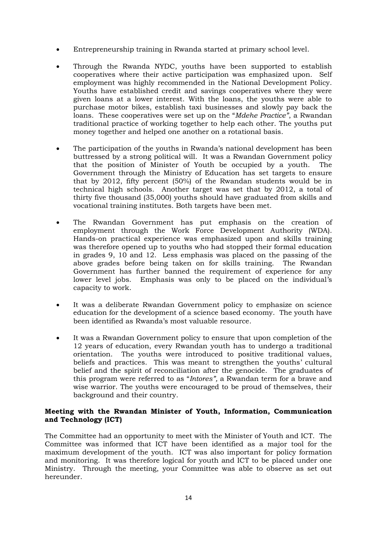- Entrepreneurship training in Rwanda started at primary school level.
- Through the Rwanda NYDC, youths have been supported to establish cooperatives where their active participation was emphasized upon. Self employment was highly recommended in the National Development Policy. Youths have established credit and savings cooperatives where they were given loans at a lower interest. With the loans, the youths were able to purchase motor bikes, establish taxi businesses and slowly pay back the loans. These cooperatives were set up on the "*Mdehe Practice"*, a Rwandan traditional practice of working together to help each other. The youths put money together and helped one another on a rotational basis.
- The participation of the youths in Rwanda's national development has been buttressed by a strong political will. It was a Rwandan Government policy that the position of Minister of Youth be occupied by a youth. The Government through the Ministry of Education has set targets to ensure that by 2012, fifty percent (50%) of the Rwandan students would be in technical high schools. Another target was set that by 2012, a total of thirty five thousand (35,000) youths should have graduated from skills and vocational training institutes. Both targets have been met.
- The Rwandan Government has put emphasis on the creation of employment through the Work Force Development Authority (WDA). Hands-on practical experience was emphasized upon and skills training was therefore opened up to youths who had stopped their formal education in grades 9, 10 and 12. Less emphasis was placed on the passing of the above grades before being taken on for skills training. The Rwandan Government has further banned the requirement of experience for any lower level jobs. Emphasis was only to be placed on the individual's capacity to work.
- It was a deliberate Rwandan Government policy to emphasize on science education for the development of a science based economy. The youth have been identified as Rwanda's most valuable resource.
- It was a Rwandan Government policy to ensure that upon completion of the 12 years of education, every Rwandan youth has to undergo a traditional orientation. The youths were introduced to positive traditional values, beliefs and practices. This was meant to strengthen the youths' cultural belief and the spirit of reconciliation after the genocide. The graduates of this program were referred to as "*Intores",* a Rwandan term for a brave and wise warrior. The youths were encouraged to be proud of themselves, their background and their country.

# **Meeting with the Rwandan Minister of Youth, Information, Communication and Technology (ICT)**

The Committee had an opportunity to meet with the Minister of Youth and ICT. The Committee was informed that ICT have been identified as a major tool for the maximum development of the youth. ICT was also important for policy formation and monitoring. It was therefore logical for youth and ICT to be placed under one Ministry. Through the meeting, your Committee was able to observe as set out hereunder.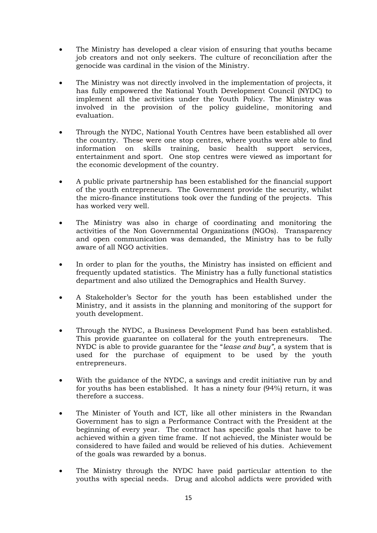- The Ministry has developed a clear vision of ensuring that youths became job creators and not only seekers. The culture of reconciliation after the genocide was cardinal in the vision of the Ministry.
- The Ministry was not directly involved in the implementation of projects, it has fully empowered the National Youth Development Council (NYDC) to implement all the activities under the Youth Policy. The Ministry was involved in the provision of the policy guideline, monitoring and evaluation.
- Through the NYDC, National Youth Centres have been established all over the country. These were one stop centres, where youths were able to find information on skills training, basic health support services, entertainment and sport. One stop centres were viewed as important for the economic development of the country.
- A public private partnership has been established for the financial support of the youth entrepreneurs. The Government provide the security, whilst the micro-finance institutions took over the funding of the projects. This has worked very well.
- The Ministry was also in charge of coordinating and monitoring the activities of the Non Governmental Organizations (NGOs). Transparency and open communication was demanded, the Ministry has to be fully aware of all NGO activities.
- In order to plan for the youths, the Ministry has insisted on efficient and frequently updated statistics. The Ministry has a fully functional statistics department and also utilized the Demographics and Health Survey.
- A Stakeholder's Sector for the youth has been established under the Ministry, and it assists in the planning and monitoring of the support for youth development.
- Through the NYDC, a Business Development Fund has been established. This provide guarantee on collateral for the youth entrepreneurs. The NYDC is able to provide guarantee for the "*lease and buy",* a system that is used for the purchase of equipment to be used by the youth entrepreneurs.
- With the guidance of the NYDC, a savings and credit initiative run by and for youths has been established. It has a ninety four (94%) return, it was therefore a success.
- The Minister of Youth and ICT, like all other ministers in the Rwandan Government has to sign a Performance Contract with the President at the beginning of every year. The contract has specific goals that have to be achieved within a given time frame. If not achieved, the Minister would be considered to have failed and would be relieved of his duties. Achievement of the goals was rewarded by a bonus.
- The Ministry through the NYDC have paid particular attention to the youths with special needs. Drug and alcohol addicts were provided with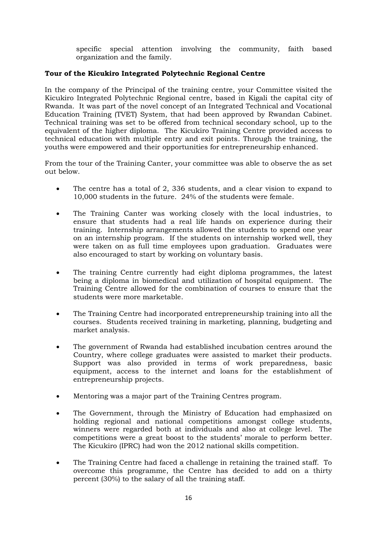specific special attention involving the community, faith based organization and the family.

# **Tour of the Kicukiro Integrated Polytechnic Regional Centre**

In the company of the Principal of the training centre, your Committee visited the Kicukiro Integrated Polytechnic Regional centre, based in Kigali the capital city of Rwanda. It was part of the novel concept of an Integrated Technical and Vocational Education Training (TVET) System, that had been approved by Rwandan Cabinet. Technical training was set to be offered from technical secondary school, up to the equivalent of the higher diploma. The Kicukiro Training Centre provided access to technical education with multiple entry and exit points. Through the training, the youths were empowered and their opportunities for entrepreneurship enhanced.

From the tour of the Training Canter, your committee was able to observe the as set out below.

- The centre has a total of 2, 336 students, and a clear vision to expand to 10,000 students in the future. 24% of the students were female.
- The Training Canter was working closely with the local industries, to ensure that students had a real life hands on experience during their training. Internship arrangements allowed the students to spend one year on an internship program. If the students on internship worked well, they were taken on as full time employees upon graduation. Graduates were also encouraged to start by working on voluntary basis.
- The training Centre currently had eight diploma programmes, the latest being a diploma in biomedical and utilization of hospital equipment. The Training Centre allowed for the combination of courses to ensure that the students were more marketable.
- The Training Centre had incorporated entrepreneurship training into all the courses. Students received training in marketing, planning, budgeting and market analysis.
- The government of Rwanda had established incubation centres around the Country, where college graduates were assisted to market their products. Support was also provided in terms of work preparedness, basic equipment, access to the internet and loans for the establishment of entrepreneurship projects.
- Mentoring was a major part of the Training Centres program.
- The Government, through the Ministry of Education had emphasized on holding regional and national competitions amongst college students, winners were regarded both at individuals and also at college level. The competitions were a great boost to the students' morale to perform better. The Kicukiro (IPRC) had won the 2012 national skills competition.
- The Training Centre had faced a challenge in retaining the trained staff. To overcome this programme, the Centre has decided to add on a thirty percent (30%) to the salary of all the training staff.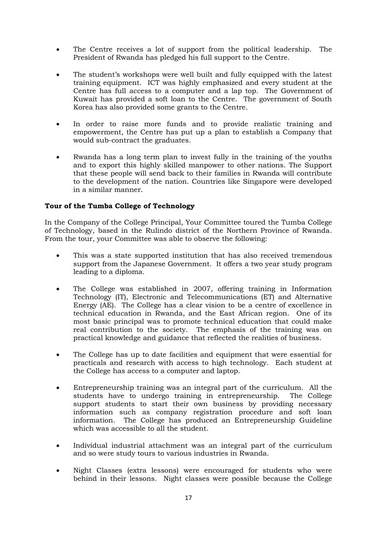- The Centre receives a lot of support from the political leadership. The President of Rwanda has pledged his full support to the Centre.
- The student's workshops were well built and fully equipped with the latest training equipment. ICT was highly emphasized and every student at the Centre has full access to a computer and a lap top. The Government of Kuwait has provided a soft loan to the Centre. The government of South Korea has also provided some grants to the Centre.
- In order to raise more funds and to provide realistic training and empowerment, the Centre has put up a plan to establish a Company that would sub-contract the graduates.
- Rwanda has a long term plan to invest fully in the training of the youths and to export this highly skilled manpower to other nations. The Support that these people will send back to their families in Rwanda will contribute to the development of the nation. Countries like Singapore were developed in a similar manner.

# **Tour of the Tumba College of Technology**

In the Company of the College Principal, Your Committee toured the Tumba College of Technology, based in the Rulindo district of the Northern Province of Rwanda. From the tour, your Committee was able to observe the following:

- This was a state supported institution that has also received tremendous support from the Japanese Government. It offers a two year study program leading to a diploma.
- The College was established in 2007, offering training in Information Technology (IT), Electronic and Telecommunications (ET) and Alternative Energy (AE). The College has a clear vision to be a centre of excellence in technical education in Rwanda, and the East African region. One of its most basic principal was to promote technical education that could make real contribution to the society. The emphasis of the training was on practical knowledge and guidance that reflected the realities of business.
- The College has up to date facilities and equipment that were essential for practicals and research with access to high technology. Each student at the College has access to a computer and laptop.
- Entrepreneurship training was an integral part of the curriculum. All the students have to undergo training in entrepreneurship. The College support students to start their own business by providing necessary information such as company registration procedure and soft loan information. The College has produced an Entrepreneurship Guideline which was accessible to all the student.
- Individual industrial attachment was an integral part of the curriculum and so were study tours to various industries in Rwanda.
- Night Classes (extra lessons) were encouraged for students who were behind in their lessons. Night classes were possible because the College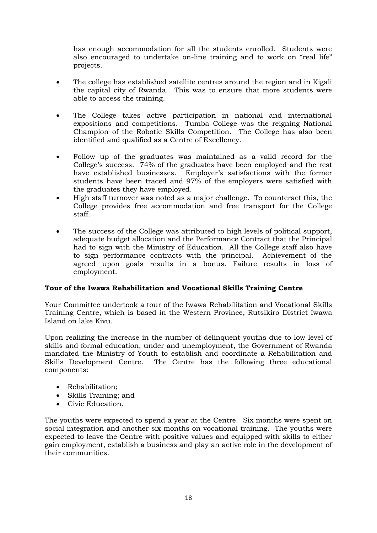has enough accommodation for all the students enrolled. Students were also encouraged to undertake on-line training and to work on "real life" projects.

- The college has established satellite centres around the region and in Kigali the capital city of Rwanda. This was to ensure that more students were able to access the training.
- The College takes active participation in national and international expositions and competitions. Tumba College was the reigning National Champion of the Robotic Skills Competition. The College has also been identified and qualified as a Centre of Excellency.
- Follow up of the graduates was maintained as a valid record for the College's success. 74% of the graduates have been employed and the rest have established businesses. Employer's satisfactions with the former students have been traced and 97% of the employers were satisfied with the graduates they have employed.
- High staff turnover was noted as a major challenge. To counteract this, the College provides free accommodation and free transport for the College staff.
- The success of the College was attributed to high levels of political support, adequate budget allocation and the Performance Contract that the Principal had to sign with the Ministry of Education. All the College staff also have to sign performance contracts with the principal. Achievement of the agreed upon goals results in a bonus. Failure results in loss of employment.

# **Tour of the Iwawa Rehabilitation and Vocational Skills Training Centre**

Your Committee undertook a tour of the Iwawa Rehabilitation and Vocational Skills Training Centre, which is based in the Western Province, Rutsikiro District Iwawa Island on lake Kivu.

Upon realizing the increase in the number of delinquent youths due to low level of skills and formal education, under and unemployment, the Government of Rwanda mandated the Ministry of Youth to establish and coordinate a Rehabilitation and Skills Development Centre. The Centre has the following three educational components:

- Rehabilitation;
- Skills Training; and
- Civic Education.

The youths were expected to spend a year at the Centre. Six months were spent on social integration and another six months on vocational training. The youths were expected to leave the Centre with positive values and equipped with skills to either gain employment, establish a business and play an active role in the development of their communities.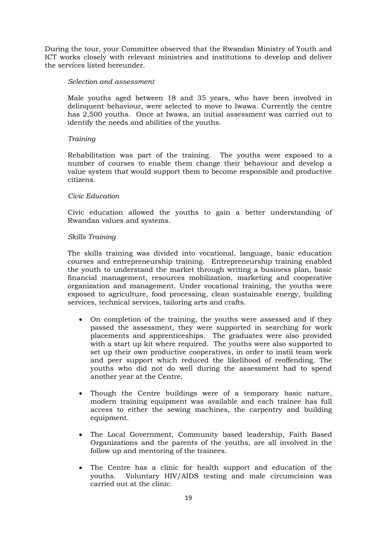During the tour, your Committee observed that the Rwandan Ministry of Youth and ICT works closely with relevant ministries and institutions to develop and deliver the services listed hereunder.

# *Selection and assessment*

Male youths aged between 18 and 35 years, who have been involved in delinquent behaviour, were selected to move to Iwawa. Currently the centre has 2,500 youths. Once at Iwawa, an initial assessment was carried out to identify the needs and abilities of the youths.

# *Training*

Rehabilitation was part of the training. The youths were exposed to a number of courses to enable them change their behaviour and develop a value system that would support them to become responsible and productive citizens.

# *Civic Education*

Civic education allowed the youths to gain a better understanding of Rwandan values and systems.

# *Skills Training*

The skills training was divided into vocational, language, basic education courses and entrepreneurship training. Entrepreneurship training enabled the youth to understand the market through writing a business plan, basic financial management, resources mobilization, marketing and cooperative organization and management. Under vocational training, the youths were exposed to agriculture, food processing, clean sustainable energy, building services, technical services, tailoring arts and crafts.

- On completion of the training, the youths were assessed and if they passed the assessment, they were supported in searching for work placements and apprenticeships. The graduates were also provided with a start up kit where required. The youths were also supported to set up their own productive cooperatives, in order to instil team work and peer support which reduced the likelihood of reoffending. The youths who did not do well during the assessment had to spend another year at the Centre.
- Though the Centre buildings were of a temporary basic nature, modern training equipment was available and each trainee has full access to either the sewing machines, the carpentry and building equipment.
- The Local Government, Community based leadership, Faith Based Organizations and the parents of the youths, are all involved in the follow up and mentoring of the trainees.
- The Centre has a clinic for health support and education of the youths. Voluntary HIV/AIDS testing and male circumcision was carried out at the clinic.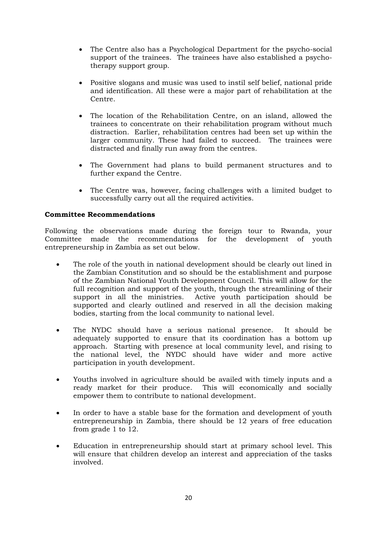- The Centre also has a Psychological Department for the psycho-social support of the trainees. The trainees have also established a psychotherapy support group.
- Positive slogans and music was used to instil self belief, national pride and identification. All these were a major part of rehabilitation at the Centre.
- The location of the Rehabilitation Centre, on an island, allowed the trainees to concentrate on their rehabilitation program without much distraction. Earlier, rehabilitation centres had been set up within the larger community. These had failed to succeed. The trainees were distracted and finally run away from the centres.
- The Government had plans to build permanent structures and to further expand the Centre.
- The Centre was, however, facing challenges with a limited budget to successfully carry out all the required activities.

# **Committee Recommendations**

Following the observations made during the foreign tour to Rwanda, your Committee made the recommendations for the development of youth entrepreneurship in Zambia as set out below.

- The role of the youth in national development should be clearly out lined in the Zambian Constitution and so should be the establishment and purpose of the Zambian National Youth Development Council. This will allow for the full recognition and support of the youth, through the streamlining of their support in all the ministries. Active youth participation should be supported and clearly outlined and reserved in all the decision making bodies, starting from the local community to national level.
- The NYDC should have a serious national presence. It should be adequately supported to ensure that its coordination has a bottom up approach. Starting with presence at local community level, and rising to the national level, the NYDC should have wider and more active participation in youth development.
- Youths involved in agriculture should be availed with timely inputs and a ready market for their produce. This will economically and socially empower them to contribute to national development.
- In order to have a stable base for the formation and development of youth entrepreneurship in Zambia, there should be 12 years of free education from grade 1 to 12.
- Education in entrepreneurship should start at primary school level. This will ensure that children develop an interest and appreciation of the tasks involved.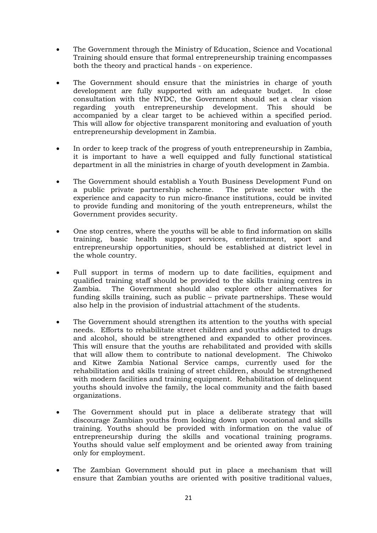- The Government through the Ministry of Education, Science and Vocational Training should ensure that formal entrepreneurship training encompasses both the theory and practical hands - on experience.
- The Government should ensure that the ministries in charge of youth development are fully supported with an adequate budget. In close consultation with the NYDC, the Government should set a clear vision regarding youth entrepreneurship development. This should be accompanied by a clear target to be achieved within a specified period. This will allow for objective transparent monitoring and evaluation of youth entrepreneurship development in Zambia.
- In order to keep track of the progress of youth entrepreneurship in Zambia, it is important to have a well equipped and fully functional statistical department in all the ministries in charge of youth development in Zambia.
- The Government should establish a Youth Business Development Fund on a public private partnership scheme. The private sector with the experience and capacity to run micro-finance institutions, could be invited to provide funding and monitoring of the youth entrepreneurs, whilst the Government provides security.
- One stop centres, where the youths will be able to find information on skills training, basic health support services, entertainment, sport and entrepreneurship opportunities, should be established at district level in the whole country.
- Full support in terms of modern up to date facilities, equipment and qualified training staff should be provided to the skills training centres in Zambia. The Government should also explore other alternatives for funding skills training, such as public – private partnerships. These would also help in the provision of industrial attachment of the students.
- The Government should strengthen its attention to the youths with special needs. Efforts to rehabilitate street children and youths addicted to drugs and alcohol, should be strengthened and expanded to other provinces. This will ensure that the youths are rehabilitated and provided with skills that will allow them to contribute to national development. The Chiwoko and Kitwe Zambia National Service camps, currently used for the rehabilitation and skills training of street children, should be strengthened with modern facilities and training equipment. Rehabilitation of delinquent youths should involve the family, the local community and the faith based organizations.
- The Government should put in place a deliberate strategy that will discourage Zambian youths from looking down upon vocational and skills training. Youths should be provided with information on the value of entrepreneurship during the skills and vocational training programs. Youths should value self employment and be oriented away from training only for employment.
- The Zambian Government should put in place a mechanism that will ensure that Zambian youths are oriented with positive traditional values,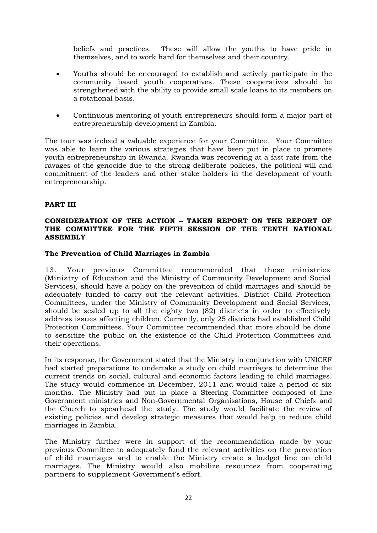beliefs and practices. These will allow the youths to have pride in themselves, and to work hard for themselves and their country.

- Youths should be encouraged to establish and actively participate in the community based youth cooperatives. These cooperatives should be strengthened with the ability to provide small scale loans to its members on a rotational basis.
- Continuous mentoring of youth entrepreneurs should form a major part of entrepreneurship development in Zambia.

The tour was indeed a valuable experience for your Committee. Your Committee was able to learn the various strategies that have been put in place to promote youth entrepreneurship in Rwanda. Rwanda was recovering at a fast rate from the ravages of the genocide due to the strong deliberate policies, the political will and commitment of the leaders and other stake holders in the development of youth entrepreneurship.

# **PART III**

# **CONSIDERATION OF THE ACTION – TAKEN REPORT ON THE REPORT OF THE COMMITTEE FOR THE FIFTH SESSION OF THE TENTH NATIONAL ASSEMBLY**

# **The Prevention of Child Marriages in Zambia**

13. Your previous Committee recommended that these ministries (Ministry of Education and the Ministry of Community Development and Social Services), should have a policy on the prevention of child marriages and should be adequately funded to carry out the relevant activities. District Child Protection Committees, under the Ministry of Community Development and Social Services, should be scaled up to all the eighty two (82) districts in order to effectively address issues affecting children. Currently, only 25 districts had established Child Protection Committees. Your Committee recommended that more should be done to sensitize the public on the existence of the Child Protection Committees and their operations.

In its response, the Government stated that the Ministry in conjunction with UNICEF had started preparations to undertake a study on child marriages to determine the current trends on social, cultural and economic factors leading to child marriages. The study would commence in December, 2011 and would take a period of six months. The Ministry had put in place a Steering Committee composed of line Government ministries and Non-Governmental Organisations, House of Chiefs and the Church to spearhead the study. The study would facilitate the review of existing policies and develop strategic measures that would help to reduce child marriages in Zambia.

The Ministry further were in support of the recommendation made by your previous Committee to adequately fund the relevant activities on the prevention of child marriages and to enable the Ministry create a budget line on child marriages. The Ministry would also mobilize resources from cooperating partners to supplement Government's effort.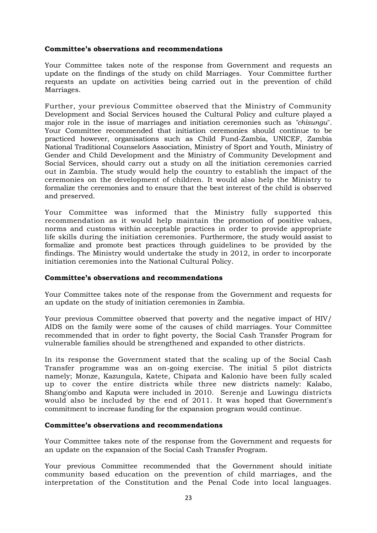# **Committee's observations and recommendations**

Your Committee takes note of the response from Government and requests an update on the findings of the study on child Marriages. Your Committee further requests an update on activities being carried out in the prevention of child Marriages.

Further, your previous Committee observed that the Ministry of Community Development and Social Services housed the Cultural Policy and culture played a major role in the issue of marriages and initiation ceremonies such as *"chisungu*". Your Committee recommended that initiation ceremonies should continue to be practiced however, organisations such as Child Fund-Zambia, UNICEF, Zambia National Traditional Counselors Association, Ministry of Sport and Youth, Ministry of Gender and Child Development and the Ministry of Community Development and Social Services, should carry out a study on all the initiation ceremonies carried out in Zambia. The study would help the country to establish the impact of the ceremonies on the development of children. It would also help the Ministry to formalize the ceremonies and to ensure that the best interest of the child is observed and preserved.

Your Committee was informed that the Ministry fully supported this recommendation as it would help maintain the promotion of positive values, norms and customs within acceptable practices in order to provide appropriate life skills during the initiation ceremonies. Furthermore, the study would assist to formalize and promote best practices through guidelines to be provided by the findings. The Ministry would undertake the study in 2012, in order to incorporate initiation ceremonies into the National Cultural Policy.

#### **Committee's observations and recommendations**

Your Committee takes note of the response from the Government and requests for an update on the study of initiation ceremonies in Zambia.

Your previous Committee observed that poverty and the negative impact of HIV/ AIDS on the family were some of the causes of child marriages. Your Committee recommended that in order to fight poverty, the Social Cash Transfer Program for vulnerable families should be strengthened and expanded to other districts.

In its response the Government stated that the scaling up of the Social Cash Transfer programme was an on-going exercise. The initial 5 pilot districts namely; Monze, Kazungula, Katete, Chipata and Kalonio have been fully scaled up to cover the entire districts while three new districts namely: Kalabo, Shang'ombo and Kaputa were included in 2010. Serenje and Luwingu districts would also be included by the end of 2011. It was hoped that Government's commitment to increase funding for the expansion program would continue.

#### **Committee's observations and recommendations**

Your Committee takes note of the response from the Government and requests for an update on the expansion of the Social Cash Transfer Program.

Your previous Committee recommended that the Government should initiate community based education on the prevention of child marriages, and the interpretation of the Constitution and the Penal Code into local languages.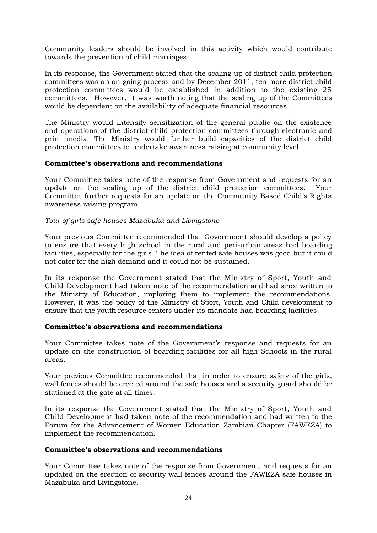Community leaders should be involved in this activity which would contribute towards the prevention of child marriages.

In its response, the Government stated that the scaling up of district child protection committees was an on-going process and by December 2011, ten more district child protection committees would be established in addition to the existing 25 committees. However, it was worth noting that the scaling up of the Committees would be dependent on the availability of adequate financial resources.

The Ministry would intensify sensitization of the general public on the existence and operations of the district child protection committees through electronic and print media. The Ministry would further build capacities of the district child protection committees to undertake awareness raising at community level.

# **Committee's observations and recommendations**

Your Committee takes note of the response from Government and requests for an update on the scaling up of the district child protection committees. Your Committee further requests for an update on the Community Based Child's Rights awareness raising program.

# *Tour of girls safe houses-Mazabuka and Livingstone*

Your previous Committee recommended that Government should develop a policy to ensure that every high school in the rural and peri-urban areas had boarding facilities, especially for the girls. The idea of rented safe houses was good but it could not cater for the high demand and it could not be sustained.

In its response the Government stated that the Ministry of Sport, Youth and Child Development had taken note of the recommendation and had since written to the Ministry of Education, imploring them to implement the recommendations. However, it was the policy of the Ministry of Sport, Youth and Child development to ensure that the youth resource centers under its mandate had boarding facilities.

# **Committee's observations and recommendations**

Your Committee takes note of the Government's response and requests for an update on the construction of boarding facilities for all high Schools in the rural areas.

Your previous Committee recommended that in order to ensure safety of the girls, wall fences should be erected around the safe houses and a security guard should be stationed at the gate at all times.

In its response the Government stated that the Ministry of Sport, Youth and Child Development had taken note of the recommendation and had written to the Forum for the Advancement of Women Education Zambian Chapter (FAWEZA) to implement the recommendation.

#### **Committee's observations and recommendations**

Your Committee takes note of the response from Government, and requests for an updated on the erection of security wall fences around the FAWEZA safe houses in Mazabuka and Livingstone.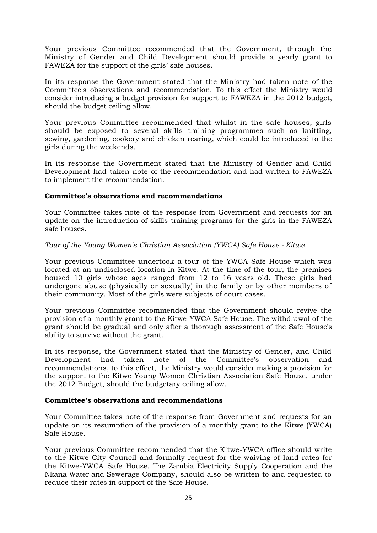Your previous Committee recommended that the Government, through the Ministry of Gender and Child Development should provide a yearly grant to FAWEZA for the support of the girls' safe houses.

In its response the Government stated that the Ministry had taken note of the Committee's observations and recommendation. To this effect the Ministry would consider introducing a budget provision for support to FAWEZA in the 2012 budget, should the budget ceiling allow.

Your previous Committee recommended that whilst in the safe houses, girls should be exposed to several skills training programmes such as knitting, sewing, gardening, cookery and chicken rearing, which could be introduced to the girls during the weekends.

In its response the Government stated that the Ministry of Gender and Child Development had taken note of the recommendation and had written to FAWEZA to implement the recommendation.

# **Committee's observations and recommendations**

Your Committee takes note of the response from Government and requests for an update on the introduction of skills training programs for the girls in the FAWEZA safe houses.

# *Tour of the Young Women's Christian Association (YWCA) Safe House - Kitwe*

Your previous Committee undertook a tour of the YWCA Safe House which was located at an undisclosed location in Kitwe. At the time of the tour, the premises housed 10 girls whose ages ranged from 12 to 16 years old. These girls had undergone abuse (physically or sexually) in the family or by other members of their community. Most of the girls were subjects of court cases.

Your previous Committee recommended that the Government should revive the provision of a monthly grant to the Kitwe-YWCA Safe House. The withdrawal of the grant should be gradual and only after a thorough assessment of the Safe House's ability to survive without the grant.

In its response, the Government stated that the Ministry of Gender, and Child Development had taken note of the Committee's observation and recommendations, to this effect, the Ministry would consider making a provision for the support to the Kitwe Young Women Christian Association Safe House, under the 2012 Budget, should the budgetary ceiling allow.

# **Committee's observations and recommendations**

Your Committee takes note of the response from Government and requests for an update on its resumption of the provision of a monthly grant to the Kitwe (YWCA) Safe House.

Your previous Committee recommended that the Kitwe-YWCA office should write to the Kitwe City Council and formally request for the waiving of land rates for the Kitwe-YWCA Safe House. The Zambia Electricity Supply Cooperation and the Nkana Water and Sewerage Company, should also be written to and requested to reduce their rates in support of the Safe House.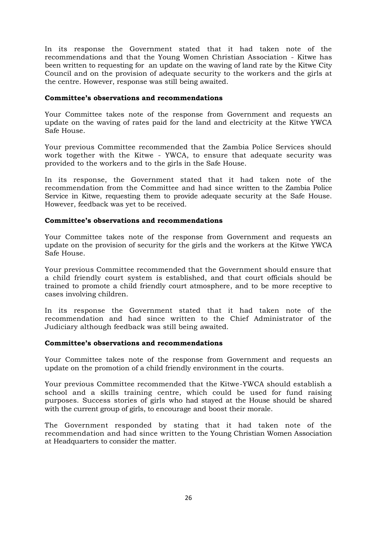In its response the Government stated that it had taken note of the recommendations and that the Young Women Christian Association - Kitwe has been written to requesting for an update on the waving of land rate by the Kitwe City Council and on the provision of adequate security to the workers and the girls at the centre. However, response was still being awaited.

# **Committee's observations and recommendations**

Your Committee takes note of the response from Government and requests an update on the waving of rates paid for the land and electricity at the Kitwe YWCA Safe House.

Your previous Committee recommended that the Zambia Police Services should work together with the Kitwe - YWCA, to ensure that adequate security was provided to the workers and to the girls in the Safe House.

In its response, the Government stated that it had taken note of the recommendation from the Committee and had since written to the Zambia Police Service in Kitwe, requesting them to provide adequate security at the Safe House. However, feedback was yet to be received.

# **Committee's observations and recommendations**

Your Committee takes note of the response from Government and requests an update on the provision of security for the girls and the workers at the Kitwe YWCA Safe House.

Your previous Committee recommended that the Government should ensure that a child friendly court system is established, and that court officials should be trained to promote a child friendly court atmosphere, and to be more receptive to cases involving children.

In its response the Government stated that it had taken note of the recommendation and had since written to the Chief Administrator of the Judiciary although feedback was still being awaited.

# **Committee's observations and recommendations**

Your Committee takes note of the response from Government and requests an update on the promotion of a child friendly environment in the courts.

Your previous Committee recommended that the Kitwe-YWCA should establish a school and a skills training centre, which could be used for fund raising purposes. Success stories of girls who had stayed at the House should be shared with the current group of girls, to encourage and boost their morale.

The Government responded by stating that it had taken note of the recommendation and had since written to the Young Christian Women Association at Headquarters to consider the matter.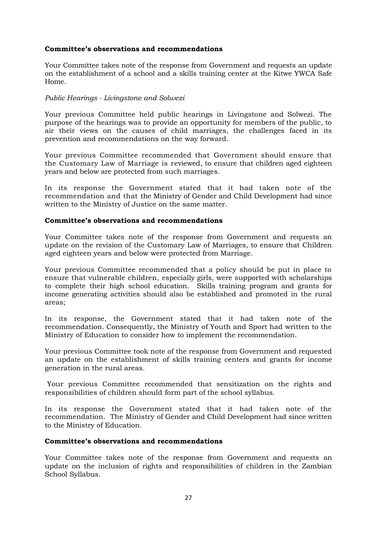# **Committee's observations and recommendations**

Your Committee takes note of the response from Government and requests an update on the establishment of a school and a skills training center at the Kitwe YWCA Safe Home.

# *Public Hearings - Livingstone and Solwezi*

Your previous Committee held public hearings in Livingstone and Solwezi. The purpose of the hearings was to provide an opportunity for members of the public, to air their views on the causes of child marriages, the challenges faced in its prevention and recommendations on the way forward.

Your previous Committee recommended that Government should ensure that the Customary Law of Marriage is reviewed, to ensure that children aged eighteen years and below are protected from such marriages.

In its response the Government stated that it had taken note of the recommendation and that the Ministry of Gender and Child Development had since written to the Ministry of Justice on the same matter.

# **Committee's observations and recommendations**

Your Committee takes note of the response from Government and requests an update on the revision of the Customary Law of Marriages, to ensure that Children aged eighteen years and below were protected from Marriage.

Your previous Committee recommended that a policy should be put in place to ensure that vulnerable children, especially girls, were supported with scholarships to complete their high school education. Skills training program and grants for income generating activities should also be established and promoted in the rural areas;

In its response, the Government stated that it had taken note of the recommendation. Consequently, the Ministry of Youth and Sport had written to the Ministry of Education to consider how to implement the recommendation.

Your previous Committee took note of the response from Government and requested an update on the establishment of skills training centers and grants for income generation in the rural areas.

Your previous Committee recommended that sensitization on the rights and responsibilities of children should form part of the school syllabus.

In its response the Government stated that it had taken note of the recommendation. The Ministry of Gender and Child Development had since written to the Ministry of Education.

# **Committee's observations and recommendations**

Your Committee takes note of the response from Government and requests an update on the inclusion of rights and responsibilities of children in the Zambian School Syllabus.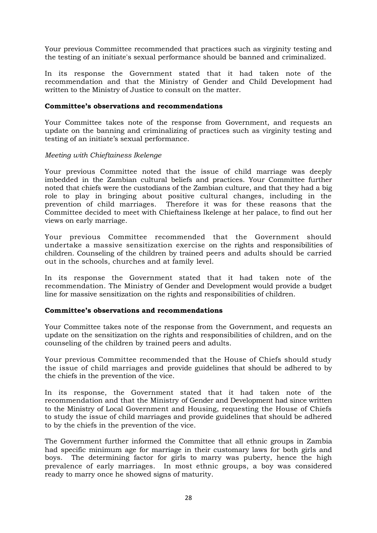Your previous Committee recommended that practices such as virginity testing and the testing of an initiate's sexual performance should be banned and criminalized.

In its response the Government stated that it had taken note of the recommendation and that the Ministry of Gender and Child Development had written to the Ministry of Justice to consult on the matter.

# **Committee's observations and recommendations**

Your Committee takes note of the response from Government, and requests an update on the banning and criminalizing of practices such as virginity testing and testing of an initiate's sexual performance.

# *Meeting with Chieftainess Ikelenge*

Your previous Committee noted that the issue of child marriage was deeply imbedded in the Zambian cultural beliefs and practices. Your Committee further noted that chiefs were the custodians of the Zambian culture, and that they had a big role to play in bringing about positive cultural changes, including in the prevention of child marriages. Therefore it was for these reasons that the Committee decided to meet with Chieftainess lkelenge at her palace, to find out her views on early marriage.

Your previous Committee recommended that the Government should undertake a massive sensitization exercise on the rights and responsibilities of children. Counseling of the children by trained peers and adults should be carried out in the schools, churches and at family level.

In its response the Government stated that it had taken note of the recommendation. The Ministry of Gender and Development would provide a budget line for massive sensitization on the rights and responsibilities of children.

# **Committee's observations and recommendations**

Your Committee takes note of the response from the Government, and requests an update on the sensitization on the rights and responsibilities of children, and on the counseling of the children by trained peers and adults.

Your previous Committee recommended that the House of Chiefs should study the issue of child marriages and provide guidelines that should be adhered to by the chiefs in the prevention of the vice.

In its response, the Government stated that it had taken note of the recommendation and that the Ministry of Gender and Development had since written to the Ministry of Local Government and Housing, requesting the House of Chiefs to study the issue of child marriages and provide guidelines that should be adhered to by the chiefs in the prevention of the vice.

The Government further informed the Committee that all ethnic groups in Zambia had specific minimum age for marriage in their customary laws for both girls and boys. The determining factor for girls to marry was puberty, hence the high prevalence of early marriages. In most ethnic groups, a boy was considered ready to marry once he showed signs of maturity.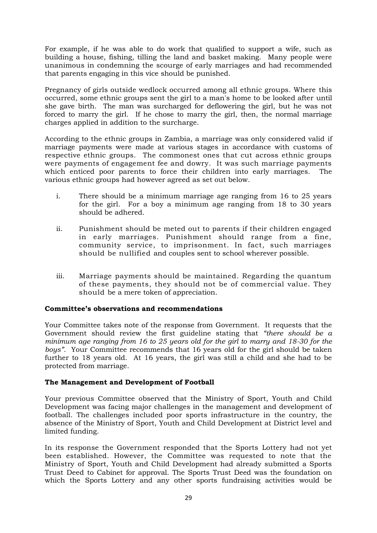For example, if he was able to do work that qualified to support a wife, such as building a house, fishing, tilling the land and basket making. Many people were unanimous in condemning the scourge of early marriages and had recommended that parents engaging in this vice should be punished.

Pregnancy of girls outside wedlock occurred among all ethnic groups. Where this occurred, some ethnic groups sent the girl to a man's home to be looked after until she gave birth. The man was surcharged for deflowering the girl, but he was not forced to marry the girl. If he chose to marry the girl, then, the normal marriage charges applied in addition to the surcharge.

According to the ethnic groups in Zambia, a marriage was only considered valid if marriage payments were made at various stages in accordance with customs of respective ethnic groups. The commonest ones that cut across ethnic groups were payments of engagement fee and dowry. It was such marriage payments which enticed poor parents to force their children into early marriages. The various ethnic groups had however agreed as set out below.

- i. There should be a minimum marriage age ranging from 16 to 25 years for the girl. For a boy a minimum age ranging from 18 to 30 years should be adhered.
- ii. Punishment should be meted out to parents if their children engaged in early marriages. Punishment should range from a fine, community service, to imprisonment. In fact, such marriages should be nullified and couples sent to school wherever possible.
- iii. Marriage payments should be maintained. Regarding the quantum of these payments, they should not be of commercial value. They should be a mere token of appreciation.

# **Committee's observations and recommendations**

Your Committee takes note of the response from Government. It requests that the Government should review the first guideline stating that *"there should be a minimum age ranging from 16 to 25 years old for the girl to marry and 18-30 for the boys"*. Your Committee recommends that 16 years old for the girl should be taken further to 18 years old. At 16 years, the girl was still a child and she had to be protected from marriage.

# **The Management and Development of Football**

Your previous Committee observed that the Ministry of Sport, Youth and Child Development was facing major challenges in the management and development of football. The challenges included poor sports infrastructure in the country, the absence of the Ministry of Sport, Youth and Child Development at District level and limited funding.

In its response the Government responded that the Sports Lottery had not yet been established. However, the Committee was requested to note that the Ministry of Sport, Youth and Child Development had already submitted a Sports Trust Deed to Cabinet for approval. The Sports Trust Deed was the foundation on which the Sports Lottery and any other sports fundraising activities would be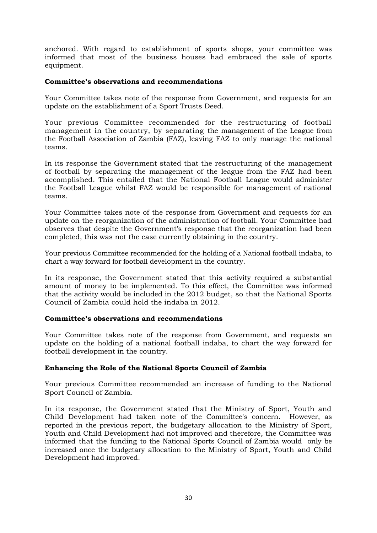anchored. With regard to establishment of sports shops, your committee was informed that most of the business houses had embraced the sale of sports equipment.

# **Committee's observations and recommendations**

Your Committee takes note of the response from Government, and requests for an update on the establishment of a Sport Trusts Deed.

Your previous Committee recommended for the restructuring of football management in the country, by separating the management of the League from the Football Association of Zambia (FAZ), leaving FAZ to only manage the national teams.

In its response the Government stated that the restructuring of the management of football by separating the management of the league from the FAZ had been accomplished. This entailed that the National Football League would administer the Football League whilst FAZ would be responsible for management of national teams.

Your Committee takes note of the response from Government and requests for an update on the reorganization of the administration of football. Your Committee had observes that despite the Government's response that the reorganization had been completed, this was not the case currently obtaining in the country.

Your previous Committee recommended for the holding of a National football indaba, to chart a way forward for football development in the country.

In its response, the Government stated that this activity required a substantial amount of money to be implemented. To this effect, the Committee was informed that the activity would be included in the 2012 budget, so that the National Sports Council of Zambia could hold the indaba in 2012.

# **Committee's observations and recommendations**

Your Committee takes note of the response from Government, and requests an update on the holding of a national football indaba, to chart the way forward for football development in the country.

# **Enhancing the Role of the National Sports Council of Zambia**

Your previous Committee recommended an increase of funding to the National Sport Council of Zambia.

In its response, the Government stated that the Ministry of Sport, Youth and Child Development had taken note of the Committee's concern. However, as reported in the previous report, the budgetary allocation to the Ministry of Sport, Youth and Child Development had not improved and therefore, the Committee was informed that the funding to the National Sports Council of Zambia would only be increased once the budgetary allocation to the Ministry of Sport, Youth and Child Development had improved.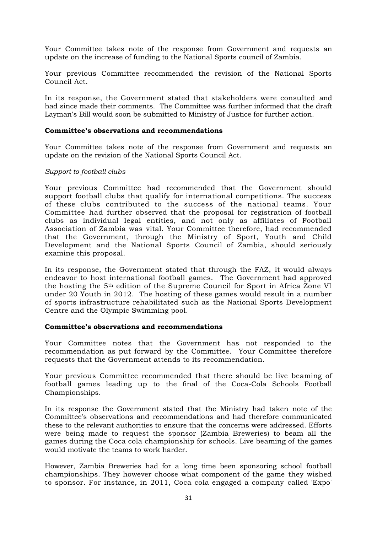Your Committee takes note of the response from Government and requests an update on the increase of funding to the National Sports council of Zambia.

Your previous Committee recommended the revision of the National Sports Council Act.

In its response, the Government stated that stakeholders were consulted and had since made their comments. The Committee was further informed that the draft Layman's Bill would soon be submitted to Ministry of Justice for further action.

#### **Committee's observations and recommendations**

Your Committee takes note of the response from Government and requests an update on the revision of the National Sports Council Act.

#### *Support to football clubs*

Your previous Committee had recommended that the Government should support football clubs that qualify for international competitions. The success of these clubs contributed to the success of the national teams. Your Committee had further observed that the proposal for registration of football clubs as individual legal entities, and not only as affiliates of Football Association of Zambia was vital. Your Committee therefore, had recommended that the Government, through the Ministry of Sport, Youth and Child Development and the National Sports Council of Zambia, should seriously examine this proposal.

In its response, the Government stated that through the FAZ, it would always endeavor to host international football games. The Government had approved the hosting the 5th edition of the Supreme Council for Sport in Africa Zone VI under 20 Youth in 2012. The hosting of these games would result in a number of sports infrastructure rehabilitated such as the National Sports Development Centre and the Olympic Swimming pool.

#### **Committee's observations and recommendations**

Your Committee notes that the Government has not responded to the recommendation as put forward by the Committee. Your Committee therefore requests that the Government attends to its recommendation.

Your previous Committee recommended that there should be live beaming of football games leading up to the final of the Coca-Cola Schools Football Championships.

In its response the Government stated that the Ministry had taken note of the Committee's observations and recommendations and had therefore communicated these to the relevant authorities to ensure that the concerns were addressed. Efforts were being made to request the sponsor (Zambia Breweries) to beam all the games during the Coca cola championship for schools. Live beaming of the games would motivate the teams to work harder.

However, Zambia Breweries had for a long time been sponsoring school football championships. They however choose what component of the game they wished to sponsor. For instance, in 2011, Coca cola engaged a company called 'Expo'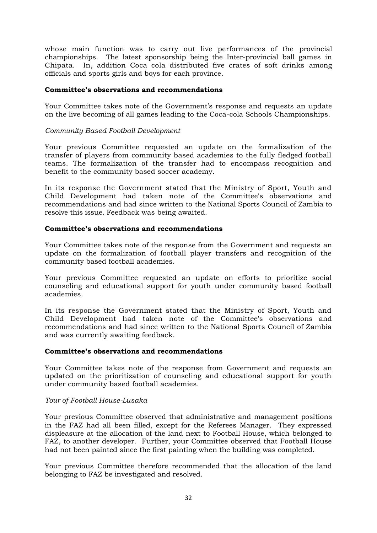whose main function was to carry out live performances of the provincial championships. The latest sponsorship being the Inter-provincial ball games in Chipata. In, addition Coca cola distributed five crates of soft drinks among officials and sports girls and boys for each province.

# **Committee's observations and recommendations**

Your Committee takes note of the Government's response and requests an update on the live becoming of all games leading to the Coca-cola Schools Championships.

# *Community Based Football Development*

Your previous Committee requested an update on the formalization of the transfer of players from community based academies to the fully fledged football teams. The formalization of the transfer had to encompass recognition and benefit to the community based soccer academy.

In its response the Government stated that the Ministry of Sport, Youth and Child Development had taken note of the Committee's observations and recommendations and had since written to the National Sports Council of Zambia to resolve this issue. Feedback was being awaited.

# **Committee's observations and recommendations**

Your Committee takes note of the response from the Government and requests an update on the formalization of football player transfers and recognition of the community based football academies.

Your previous Committee requested an update on efforts to prioritize social counseling and educational support for youth under community based football academies.

In its response the Government stated that the Ministry of Sport, Youth and Child Development had taken note of the Committee's observations and recommendations and had since written to the National Sports Council of Zambia and was currently awaiting feedback.

#### **Committee's observations and recommendations**

Your Committee takes note of the response from Government and requests an updated on the prioritization of counseling and educational support for youth under community based football academies.

# *Tour of Football House-Lusaka*

Your previous Committee observed that administrative and management positions in the FAZ had all been filled, except for the Referees Manager. They expressed displeasure at the allocation of the land next to Football House, which belonged to FAZ, to another developer. Further, your Committee observed that Football House had not been painted since the first painting when the building was completed.

Your previous Committee therefore recommended that the allocation of the land belonging to FAZ be investigated and resolved.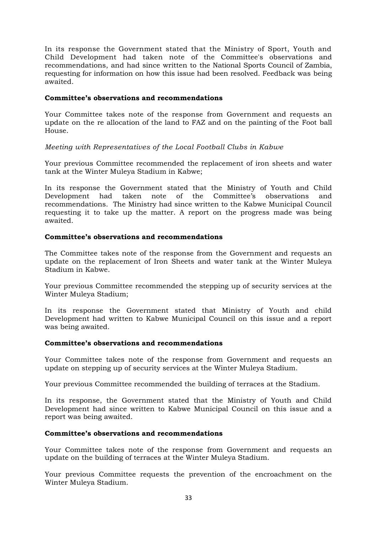In its response the Government stated that the Ministry of Sport, Youth and Child Development had taken note of the Committee's observations and recommendations, and had since written to the National Sports Council of Zambia, requesting for information on how this issue had been resolved. Feedback was being awaited.

# **Committee's observations and recommendations**

Your Committee takes note of the response from Government and requests an update on the re allocation of the land to FAZ and on the painting of the Foot ball House.

# *Meeting with Representatives of the Local Football Clubs in Kabwe*

Your previous Committee recommended the replacement of iron sheets and water tank at the Winter Muleya Stadium in Kabwe;

In its response the Government stated that the Ministry of Youth and Child Development had taken note of the Committee's observations and recommendations. The Ministry had since written to the Kabwe Municipal Council requesting it to take up the matter. A report on the progress made was being awaited.

# **Committee's observations and recommendations**

The Committee takes note of the response from the Government and requests an update on the replacement of Iron Sheets and water tank at the Winter Muleya Stadium in Kabwe.

Your previous Committee recommended the stepping up of security services at the Winter Muleya Stadium;

In its response the Government stated that Ministry of Youth and child Development had written to Kabwe Municipal Council on this issue and a report was being awaited.

# **Committee's observations and recommendations**

Your Committee takes note of the response from Government and requests an update on stepping up of security services at the Winter Muleya Stadium.

Your previous Committee recommended the building of terraces at the Stadium.

In its response, the Government stated that the Ministry of Youth and Child Development had since written to Kabwe Municipal Council on this issue and a report was being awaited.

# **Committee's observations and recommendations**

Your Committee takes note of the response from Government and requests an update on the building of terraces at the Winter Muleya Stadium.

Your previous Committee requests the prevention of the encroachment on the Winter Muleya Stadium.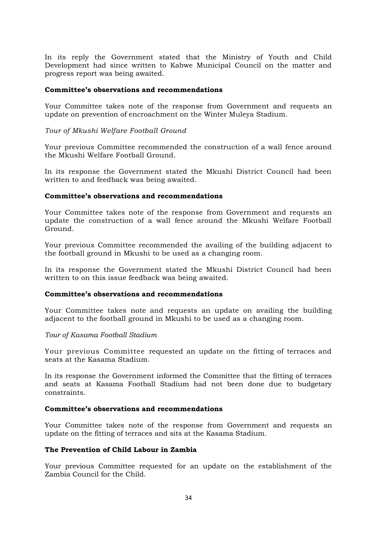In its reply the Government stated that the Ministry of Youth and Child Development had since written to Kabwe Municipal Council on the matter and progress report was being awaited.

#### **Committee's observations and recommendations**

Your Committee takes note of the response from Government and requests an update on prevention of encroachment on the Winter Muleya Stadium.

#### *Tour of Mkushi Welfare Football Ground*

Your previous Committee recommended the construction of a wall fence around the Mkushi Welfare Football Ground.

In its response the Government stated the Mkushi District Council had been written to and feedback was being awaited.

#### **Committee's observations and recommendations**

Your Committee takes note of the response from Government and requests an update the construction of a wall fence around the Mkushi Welfare Football Ground.

Your previous Committee recommended the availing of the building adjacent to the football ground in Mkushi to be used as a changing room.

In its response the Government stated the Mkushi District Council had been written to on this issue feedback was being awaited.

### **Committee's observations and recommendations**

Your Committee takes note and requests an update on availing the building adjacent to the football ground in Mkushi to be used as a changing room.

#### *Tour of Kasama Football Stadium*

Your previous Committee requested an update on the fitting of terraces and seats at the Kasama Stadium.

In its response the Government informed the Committee that the fitting of terraces and seats at Kasama Football Stadium had not been done due to budgetary constraints.

# **Committee's observations and recommendations**

Your Committee takes note of the response from Government and requests an update on the fitting of terraces and sits at the Kasama Stadium.

#### **The Prevention of Child Labour in Zambia**

Your previous Committee requested for an update on the establishment of the Zambia Council for the Child.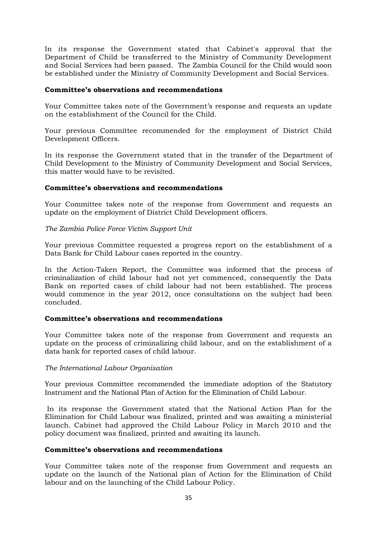In its response the Government stated that Cabinet's approval that the Department of Child be transferred to the Ministry of Community Development and Social Services had been passed. The Zambia Council for the Child would soon be established under the Ministry of Community Development and Social Services.

### **Committee's observations and recommendations**

Your Committee takes note of the Government's response and requests an update on the establishment of the Council for the Child.

Your previous Committee recommended for the employment of District Child Development Officers.

In its response the Government stated that in the transfer of the Department of Child Development to the Ministry of Community Development and Social Services, this matter would have to be revisited.

# **Committee's observations and recommendations**

Your Committee takes note of the response from Government and requests an update on the employment of District Child Development officers.

# *The Zambia Police Force Victim Support Unit*

Your previous Committee requested a progress report on the establishment of a Data Bank for Child Labour cases reported in the country.

In the Action-Taken Report, the Committee was informed that the process of criminalization of child labour had not yet commenced, consequently the Data Bank on reported cases of child labour had not been established. The process would commence in the year 2012, once consultations on the subject had been concluded.

#### **Committee's observations and recommendations**

Your Committee takes note of the response from Government and requests an update on the process of criminalizing child labour, and on the establishment of a data bank for reported cases of child labour.

#### *The International Labour Organisation*

Your previous Committee recommended the immediate adoption of the Statutory Instrument and the National Plan of Action for the Elimination of Child Labour.

In its response the Government stated that the National Action Plan for the Elimination for Child Labour was finalized, printed and was awaiting a ministerial launch. Cabinet had approved the Child Labour Policy in March 2010 and the policy document was finalized, printed and awaiting its launch.

#### **Committee's observations and recommendations**

Your Committee takes note of the response from Government and requests an update on the launch of the National plan of Action for the Elimination of Child labour and on the launching of the Child Labour Policy.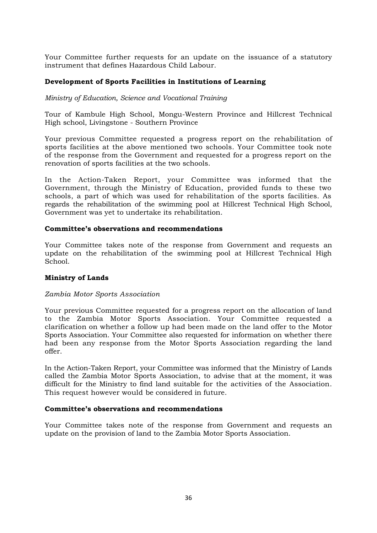Your Committee further requests for an update on the issuance of a statutory instrument that defines Hazardous Child Labour.

# **Development of Sports Facilities in Institutions of Learning**

### *Ministry of Education, Science and Vocational Training*

Tour of Kambule High School, Mongu-Western Province and Hillcrest Technical High school, Livingstone - Southern Province

Your previous Committee requested a progress report on the rehabilitation of sports facilities at the above mentioned two schools. Your Committee took note of the response from the Government and requested for a progress report on the renovation of sports facilities at the two schools.

In the Action-Taken Report, your Committee was informed that the Government, through the Ministry of Education, provided funds to these two schools, a part of which was used for rehabilitation of the sports facilities. As regards the rehabilitation of the swimming pool at Hillcrest Technical High School, Government was yet to undertake its rehabilitation.

#### **Committee's observations and recommendations**

Your Committee takes note of the response from Government and requests an update on the rehabilitation of the swimming pool at Hillcrest Technical High School.

#### **Ministry of Lands**

#### *Zambia Motor Sports Association*

Your previous Committee requested for a progress report on the allocation of land to the Zambia Motor Sports Association. Your Committee requested a clarification on whether a follow up had been made on the land offer to the Motor Sports Association. Your Committee also requested for information on whether there had been any response from the Motor Sports Association regarding the land offer.

In the Action-Taken Report, your Committee was informed that the Ministry of Lands called the Zambia Motor Sports Association, to advise that at the moment, it was difficult for the Ministry to find land suitable for the activities of the Association. This request however would be considered in future.

#### **Committee's observations and recommendations**

Your Committee takes note of the response from Government and requests an update on the provision of land to the Zambia Motor Sports Association.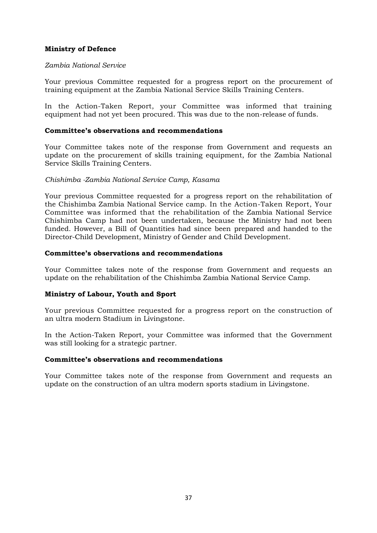# **Ministry of Defence**

### *Zambia National Service*

Your previous Committee requested for a progress report on the procurement of training equipment at the Zambia National Service Skills Training Centers.

In the Action-Taken Report, your Committee was informed that training equipment had not yet been procured. This was due to the non-release of funds.

### **Committee's observations and recommendations**

Your Committee takes note of the response from Government and requests an update on the procurement of skills training equipment, for the Zambia National Service Skills Training Centers.

# *Chishimba -Zambia National Service Camp, Kasama*

Your previous Committee requested for a progress report on the rehabilitation of the Chishimba Zambia National Service camp. In the Action-Taken Report, Your Committee was informed that the rehabilitation of the Zambia National Service Chishimba Camp had not been undertaken, because the Ministry had not been funded. However, a Bill of Quantities had since been prepared and handed to the Director-Child Development, Ministry of Gender and Child Development.

# **Committee's observations and recommendations**

Your Committee takes note of the response from Government and requests an update on the rehabilitation of the Chishimba Zambia National Service Camp.

# **Ministry of Labour, Youth and Sport**

Your previous Committee requested for a progress report on the construction of an ultra modern Stadium in Livingstone.

In the Action-Taken Report, your Committee was informed that the Government was still looking for a strategic partner.

#### **Committee's observations and recommendations**

Your Committee takes note of the response from Government and requests an update on the construction of an ultra modern sports stadium in Livingstone.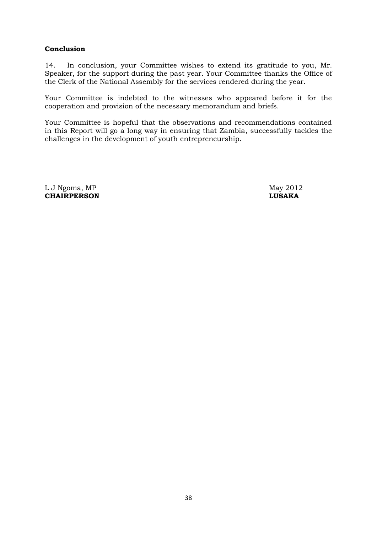# **Conclusion**

14. In conclusion, your Committee wishes to extend its gratitude to you, Mr. Speaker, for the support during the past year. Your Committee thanks the Office of the Clerk of the National Assembly for the services rendered during the year.

Your Committee is indebted to the witnesses who appeared before it for the cooperation and provision of the necessary memorandum and briefs.

Your Committee is hopeful that the observations and recommendations contained in this Report will go a long way in ensuring that Zambia, successfully tackles the challenges in the development of youth entrepreneurship.

L J Ngoma, MP May 2012 **CHAIRPERSON LUSAKA**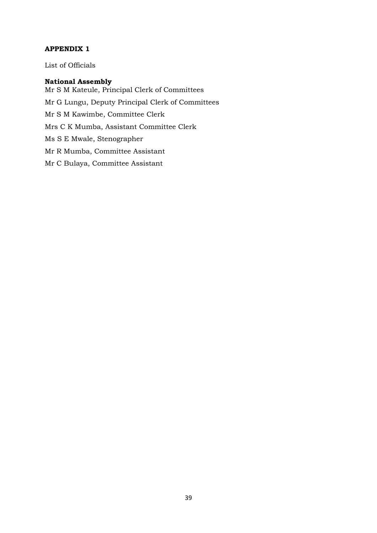# **APPENDIX 1**

List of Officials

# **National Assembly**

Mr S M Kateule, Principal Clerk of Committees Mr G Lungu, Deputy Principal Clerk of Committees Mr S M Kawimbe, Committee Clerk Mrs C K Mumba, Assistant Committee Clerk Ms S E Mwale, Stenographer Mr R Mumba, Committee Assistant Mr C Bulaya, Committee Assistant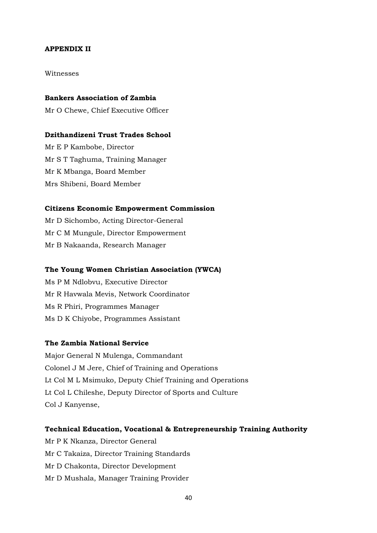### **APPENDIX II**

Witnesses

#### **Bankers Association of Zambia**

Mr O Chewe, Chief Executive Officer

#### **Dzithandizeni Trust Trades School**

Mr E P Kambobe, Director Mr S T Taghuma, Training Manager Mr K Mbanga, Board Member Mrs Shibeni, Board Member

# **Citizens Economic Empowerment Commission**

Mr D Sichombo, Acting Director-General Mr C M Mungule, Director Empowerment Mr B Nakaanda, Research Manager

### **The Young Women Christian Association (YWCA)**

Ms P M Ndlobvu, Executive Director Mr R Havwala Mevis, Network Coordinator Ms R Phiri, Programmes Manager Ms D K Chiyobe, Programmes Assistant

Mr D Mushala, Manager Training Provider

# **The Zambia National Service**

Major General N Mulenga, Commandant Colonel J M Jere, Chief of Training and Operations Lt Col M L Msimuko, Deputy Chief Training and Operations Lt Col L Chileshe, Deputy Director of Sports and Culture Col J Kanyense,

# **Technical Education, Vocational & Entrepreneurship Training Authority** Mr P K Nkanza, Director General Mr C Takaiza, Director Training Standards Mr D Chakonta, Director Development

40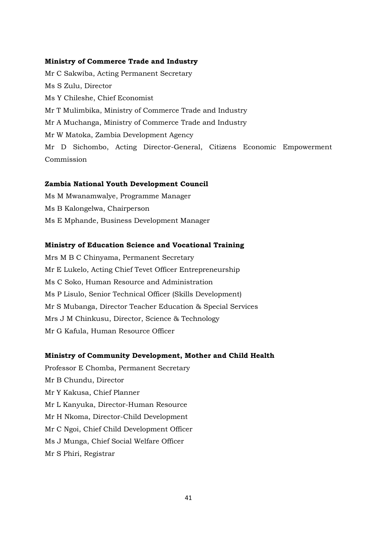### **Ministry of Commerce Trade and Industry**

Mr C Sakwiba, Acting Permanent Secretary Ms S Zulu, Director Ms Y Chileshe, Chief Economist Mr T Mulimbika, Ministry of Commerce Trade and Industry Mr A Muchanga, Ministry of Commerce Trade and Industry Mr W Matoka, Zambia Development Agency Mr D Sichombo, Acting Director-General, Citizens Economic Empowerment Commission

# **Zambia National Youth Development Council**

Ms M Mwanamwalye, Programme Manager Ms B Kalongelwa, Chairperson Ms E Mphande, Business Development Manager

### **Ministry of Education Science and Vocational Training**

Mrs M B C Chinyama, Permanent Secretary Mr E Lukelo, Acting Chief Tevet Officer Entrepreneurship Ms C Soko, Human Resource and Administration Ms P Lisulo, Senior Technical Officer (Skills Development) Mr S Mubanga, Director Teacher Education & Special Services Mrs J M Chinkusu, Director, Science & Technology Mr G Kafula, Human Resource Officer

#### **Ministry of Community Development, Mother and Child Health**

Professor E Chomba, Permanent Secretary Mr B Chundu, Director Mr Y Kakusa, Chief Planner Mr L Kanyuka, Director-Human Resource Mr H Nkoma, Director-Child Development Mr C Ngoi, Chief Child Development Officer Ms J Munga, Chief Social Welfare Officer Mr S Phiri, Registrar